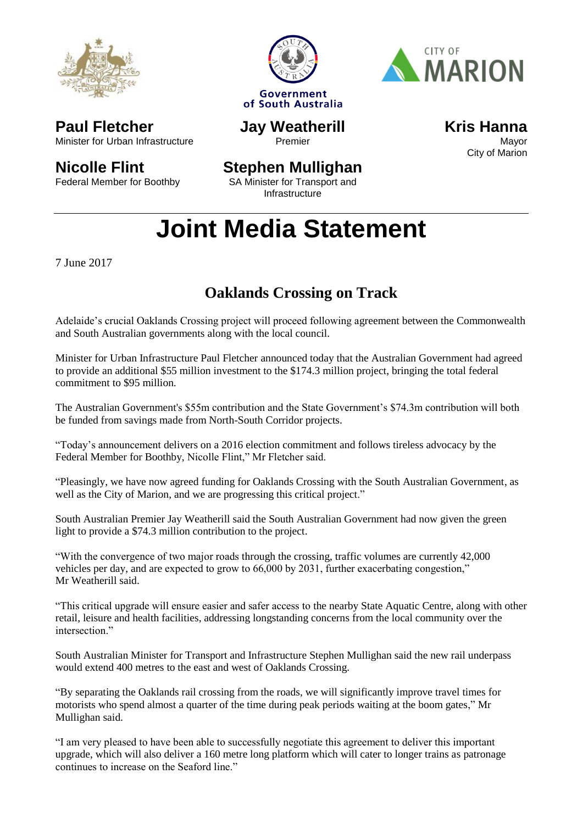





Minister for Urban Infrastructure **Jay Weatherill** Premier

**Kris Hanna** Mayor City of Marion

## **Nicolle Flint**

**Paul Fletcher**

Federal Member for Boothby

### **Stephen Mullighan**

SA Minister for Transport and **Infrastructure** 

# **Joint Media Statement**

7 June 2017

### **Oaklands Crossing on Track**

Adelaide's crucial Oaklands Crossing project will proceed following agreement between the Commonwealth and South Australian governments along with the local council.

Minister for Urban Infrastructure Paul Fletcher announced today that the Australian Government had agreed to provide an additional \$55 million investment to the \$174.3 million project, bringing the total federal commitment to \$95 million.

The Australian Government's \$55m contribution and the State Government's \$74.3m contribution will both be funded from savings made from North-South Corridor projects.

"Today's announcement delivers on a 2016 election commitment and follows tireless advocacy by the Federal Member for Boothby, Nicolle Flint," Mr Fletcher said.

"Pleasingly, we have now agreed funding for Oaklands Crossing with the South Australian Government, as well as the City of Marion, and we are progressing this critical project."

South Australian Premier Jay Weatherill said the South Australian Government had now given the green light to provide a \$74.3 million contribution to the project.

"With the convergence of two major roads through the crossing, traffic volumes are currently 42,000 vehicles per day, and are expected to grow to 66,000 by 2031, further exacerbating congestion," Mr Weatherill said.

"This critical upgrade will ensure easier and safer access to the nearby State Aquatic Centre, along with other retail, leisure and health facilities, addressing longstanding concerns from the local community over the intersection"

South Australian Minister for Transport and Infrastructure Stephen Mullighan said the new rail underpass would extend 400 metres to the east and west of Oaklands Crossing.

"By separating the Oaklands rail crossing from the roads, we will significantly improve travel times for motorists who spend almost a quarter of the time during peak periods waiting at the boom gates," Mr Mullighan said.

"I am very pleased to have been able to successfully negotiate this agreement to deliver this important upgrade, which will also deliver a 160 metre long platform which will cater to longer trains as patronage continues to increase on the Seaford line."